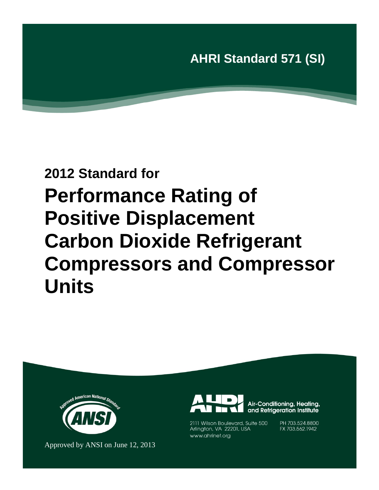# **2012 Standard for Performance Rating of Positive Displacement Carbon Dioxide Refrigerant Compressors and Compressor Units**



Approved by ANSI on June 12, 2013



Air-Conditioning, Heating, and Refrigeration Institute

2111 Wilson Boulevard, Suite 500 Arlington, VA 22201, USA www.ahrinet.org

PH 703.524.8800 FX 703.562.1942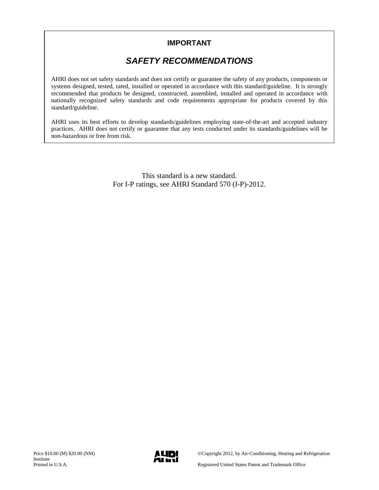### **IMPORTANT**

## *SAFETY RECOMMENDATIONS*

AHRI does not set safety standards and does not certify or guarantee the safety of any products, components or systems designed, tested, rated, installed or operated in accordance with this standard/guideline. It is strongly recommended that products be designed, constructed, assembled, installed and operated in accordance with nationally recognized safety standards and code requirements appropriate for products covered by this standard/guideline.

AHRI uses its best efforts to develop standards/guidelines employing state-of-the-art and accepted industry practices. AHRI does not certify or guarantee that any tests conducted under its standards/guidelines will be non-hazardous or free from risk.

> This standard is a new standard. For I-P ratings, see AHRI Standard 570 (I-P)-2012.

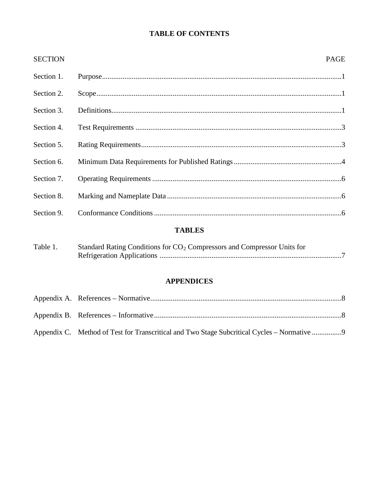### **TABLE OF CONTENTS**

|                | <b>TABLES</b> |             |
|----------------|---------------|-------------|
| Section 9.     |               |             |
| Section 8.     |               |             |
| Section 7.     |               |             |
| Section 6.     |               |             |
| Section 5.     |               |             |
| Section 4.     |               |             |
| Section 3.     |               |             |
| Section 2.     |               |             |
| Section 1.     |               |             |
| <b>SECTION</b> |               | <b>PAGE</b> |

| Table 1. | Standard Rating Conditions for $CO2$ Compressors and Compressor Units for |
|----------|---------------------------------------------------------------------------|
|          |                                                                           |

### **APPENDICES**

| Appendix C. Method of Test for Transcritical and Two Stage Subcritical Cycles – Normative |  |
|-------------------------------------------------------------------------------------------|--|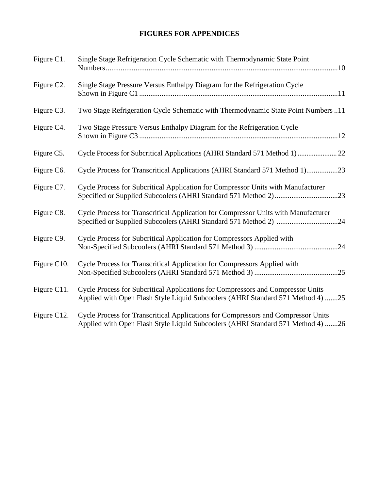### **FIGURES FOR APPENDICES**

| Figure C1.              | Single Stage Refrigeration Cycle Schematic with Thermodynamic State Point                                                                                            |
|-------------------------|----------------------------------------------------------------------------------------------------------------------------------------------------------------------|
| Figure C <sub>2</sub> . | Single Stage Pressure Versus Enthalpy Diagram for the Refrigeration Cycle                                                                                            |
| Figure C3.              | Two Stage Refrigeration Cycle Schematic with Thermodynamic State Point Numbers 11                                                                                    |
| Figure C4.              | Two Stage Pressure Versus Enthalpy Diagram for the Refrigeration Cycle                                                                                               |
| Figure C5.              | Cycle Process for Subcritical Applications (AHRI Standard 571 Method 1) 22                                                                                           |
| Figure C6.              | Cycle Process for Transcritical Applications (AHRI Standard 571 Method 1)23                                                                                          |
| Figure C7.              | Cycle Process for Subcritical Application for Compressor Units with Manufacturer                                                                                     |
| Figure C8.              | Cycle Process for Transcritical Application for Compressor Units with Manufacturer                                                                                   |
| Figure C9.              | Cycle Process for Subcritical Application for Compressors Applied with                                                                                               |
| Figure C10.             | Cycle Process for Transcritical Application for Compressors Applied with                                                                                             |
| Figure C11.             | Cycle Process for Subcritical Applications for Compressors and Compressor Units<br>Applied with Open Flash Style Liquid Subcoolers (AHRI Standard 571 Method 4) 25   |
| Figure C12.             | Cycle Process for Transcritical Applications for Compressors and Compressor Units<br>Applied with Open Flash Style Liquid Subcoolers (AHRI Standard 571 Method 4) 26 |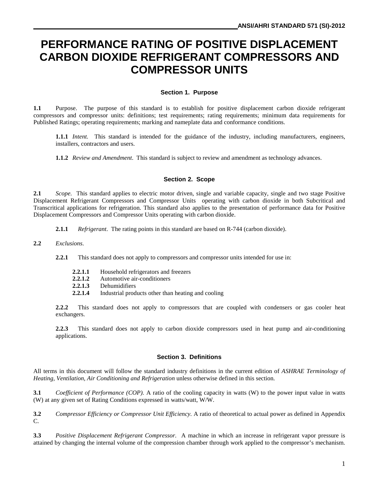# **PERFORMANCE RATING OF POSITIVE DISPLACEMENT CARBON DIOXIDE REFRIGERANT COMPRESSORS AND COMPRESSOR UNITS**

#### **Section 1. Purpose**

**1.1** Purpose. The purpose of this standard is to establish for positive displacement carbon dioxide refrigerant compressors and compressor units: definitions; test requirements; rating requirements; minimum data requirements for Published Ratings; operating requirements; marking and nameplate data and conformance conditions.

**1.1.1** *Intent.* This standard is intended for the guidance of the industry, including manufacturers, engineers, installers, contractors and users.

**1.1.2** *Review and Amendment*. This standard is subject to review and amendment as technology advances.

#### **Section 2. Scope**

**2.1** *Scope.* This standard applies to electric motor driven, single and variable capacity, single and two stage Positive Displacement Refrigerant Compressors and Compressor Units operating with carbon dioxide in both Subcritical and Transcritical applications for refrigeration. This standard also applies to the presentation of performance data for Positive Displacement Compressors and Compressor Units operating with carbon dioxide.

**2.1.1** *Refrigerant*. The rating points in this standard are based on R-744 (carbon dioxide).

- **2.2** *Exclusions*.
	- **2.2.1** This standard does not apply to compressors and compressor units intended for use in:
		- 2.2.1.1 Household refrigerators and freezers<br>2.2.1.2 Automotive air-conditioners
		- **2.2.1.2** Automotive air-conditioners
		- **2.2.1.3** Dehumidifiers
		- **2.2.1.4** Industrial products other than heating and cooling

**2.2.2** This standard does not apply to compressors that are coupled with condensers or gas cooler heat exchangers.

**2.2.3** This standard does not apply to carbon dioxide compressors used in heat pump and air-conditioning applications.

#### **Section 3. Definitions**

All terms in this document will follow the standard industry definitions in the current edition of *ASHRAE Terminology of Heating, Ventilation, Air Conditioning and Refrigeration* unless otherwise defined in this section.

**3.1** *Coefficient of Performance (COP)*. A ratio of the cooling capacity in watts (W) to the power input value in watts (W) at any given set of Rating Conditions expressed in watts/watt, W/W.

**3.2** *Compressor Efficiency or Compressor Unit Efficiency.* A ratio of theoretical to actual power as defined in Appendix C.

**3.3** *Positive Displacement Refrigerant Compressor.* A machine in which an increase in refrigerant vapor pressure is attained by changing the internal volume of the compression chamber through work applied to the compressor's mechanism.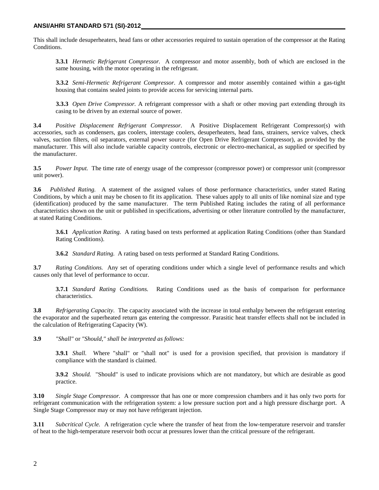This shall include desuperheaters, head fans or other accessories required to sustain operation of the compressor at the Rating Conditions.

**3.3.1** *Hermetic Refrigerant Compressor.* A compressor and motor assembly, both of which are enclosed in the same housing, with the motor operating in the refrigerant.

**3.3.2** *Semi-Hermetic Refrigerant Compressor.* A compressor and motor assembly contained within a gas-tight housing that contains sealed joints to provide access for servicing internal parts.

**3.3.3** *Open Drive Compressor.* A refrigerant compressor with a shaft or other moving part extending through its casing to be driven by an external source of power.

**3.4** *Positive Displacement Refrigerant Compressor.* A Positive Displacement Refrigerant Compressor(s) with accessories, such as condensers, gas coolers, interstage coolers, desuperheaters, head fans, strainers, service valves, check valves, suction filters, oil separators, external power source (for Open Drive Refrigerant Compressor), as provided by the manufacturer. This will also include variable capacity controls, electronic or electro-mechanical, as supplied or specified by the manufacturer.

**3.5** *Power Input.* The time rate of energy usage of the compressor (compressor power) or compressor unit (compressor unit power).

**3.6** *Published Rating.* A statement of the assigned values of those performance characteristics, under stated Rating Conditions, by which a unit may be chosen to fit its application. These values apply to all units of like nominal size and type (identification) produced by the same manufacturer. The term Published Rating includes the rating of all performance characteristics shown on the unit or published in specifications, advertising or other literature controlled by the manufacturer, at stated Rating Conditions.

**3.6.1** *Application Rating.* A rating based on tests performed at application Rating Conditions (other than Standard Rating Conditions).

**3.6.2** *Standard Rating.* A rating based on tests performed at Standard Rating Conditions.

**3.7** *Rating Conditions.* Any set of operating conditions under which a single level of performance results and which causes only that level of performance to occur.

**3.7.1** *Standard Rating Conditions.* Rating Conditions used as the basis of comparison for performance characteristics.

**3.8** *Refrigerating Capacity*. The capacity associated with the increase in total enthalpy between the refrigerant entering the evaporator and the superheated return gas entering the compressor. Parasitic heat transfer effects shall not be included in the calculation of Refrigerating Capacity (W).

**3.9** *"Shall"* or *"Should," shall be interpreted as follows:*

**3.9.1** *Shall.* Where "shall" or "shall not" is used for a provision specified, that provision is mandatory if compliance with the standard is claimed.

**3.9.2** *Should.* "Should" is used to indicate provisions which are not mandatory, but which are desirable as good practice.

**3.10** *Single Stage Compressor.* A compressor that has one or more compression chambers and it has only two ports for refrigerant communication with the refrigeration system: a low pressure suction port and a high pressure discharge port. A Single Stage Compressor may or may not have refrigerant injection.

**3.11** *Subcritical Cycle.* A refrigeration cycle where the transfer of heat from the low-temperature reservoir and transfer of heat to the high-temperature reservoir both occur at pressures lower than the critical pressure of the refrigerant.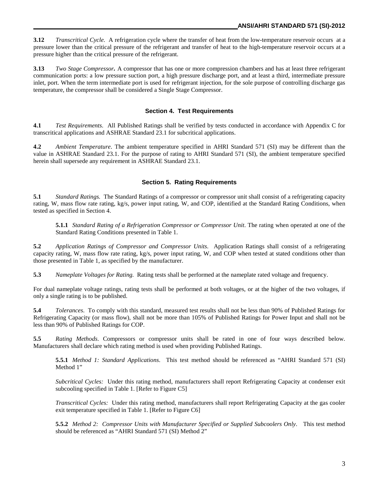**3.12** *Transcritical Cycle.* A refrigeration cycle where the transfer of heat from the low-temperature reservoir occurs at a pressure lower than the critical pressure of the refrigerant and transfer of heat to the high-temperature reservoir occurs at a pressure higher than the critical pressure of the refrigerant.

**3.13** *Two Stage Compressor.* A compressor that has one or more compression chambers and has at least three refrigerant communication ports: a low pressure suction port, a high pressure discharge port, and at least a third, intermediate pressure inlet, port. When the term intermediate port is used for refrigerant injection, for the sole purpose of controlling discharge gas temperature, the compressor shall be considered a Single Stage Compressor.

#### **Section 4. Test Requirements**

**4.1** *Test Requirements*. All Published Ratings shall be verified by tests conducted in accordance with Appendix C for transcritical applications and ASHRAE Standard 23.1 for subcritical applications.

**4.2** *Ambient Temperature*. The ambient temperature specified in AHRI Standard 571 (SI) may be different than the value in ASHRAE Standard 23.1. For the purpose of rating to AHRI Standard 571 (SI), the ambient temperature specified herein shall supersede any requirement in ASHRAE Standard 23.1.

#### **Section 5. Rating Requirements**

**5.1** *Standard Ratings.* The Standard Ratings of a compressor or compressor unit shall consist of a refrigerating capacity rating, W, mass flow rate rating, kg/s, power input rating, W, and COP, identified at the Standard Rating Conditions, when tested as specified in Section 4.

**5.1.1** *Standard Rating of a Refrigeration Compressor or Compressor Unit*. The rating when operated at one of the Standard Rating Conditions presented in Table 1.

**5.2** *Application Ratings of Compressor and Compressor Units*. Application Ratings shall consist of a refrigerating capacity rating, W, mass flow rate rating, kg/s, power input rating, W, and COP when tested at stated conditions other than those presented in Table 1, as specified by the manufacturer.

**5.3** *Nameplate Voltages for Rating.* Rating tests shall be performed at the nameplate rated voltage and frequency.

For dual nameplate voltage ratings, rating tests shall be performed at both voltages, or at the higher of the two voltages, if only a single rating is to be published.

**5.4** *Tolerances*. To comply with this standard, measured test results shall not be less than 90% of Published Ratings for Refrigerating Capacity (or mass flow), shall not be more than 105% of Published Ratings for Power Input and shall not be less than 90% of Published Ratings for COP.

**5.5** *Rating Methods*. Compressors or compressor units shall be rated in one of four ways described below. Manufacturers shall declare which rating method is used when providing Published Ratings.

**5.5.1** *Method 1: Standard Applications*. This test method should be referenced as "AHRI Standard 571 (SI) Method 1"

*Subcritical Cycles:* Under this rating method, manufacturers shall report Refrigerating Capacity at condenser exit subcooling specified in Table 1. [Refer to Figure C5]

*Transcritical Cycles:* Under this rating method, manufacturers shall report Refrigerating Capacity at the gas cooler exit temperature specified in Table 1. [Refer to Figure C6]

**5.5.2** *Method 2: Compressor Units with Manufacturer Specified or Supplied Subcoolers Only*. This test method should be referenced as "AHRI Standard 571 (SI) Method 2"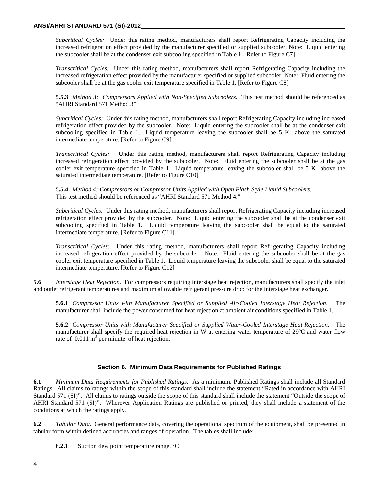#### **ANSI/AHRI STANDARD 571 (SI)-2012**

*Subcritical Cycles:* Under this rating method, manufacturers shall report Refrigerating Capacity including the increased refrigeration effect provided by the manufacturer specified or supplied subcooler. Note: Liquid entering the subcooler shall be at the condenser exit subcooling specified in Table 1. [Refer to Figure C7]

*Transcritical Cycles:* Under this rating method, manufacturers shall report Refrigerating Capacity including the increased refrigeration effect provided by the manufacturer specified or supplied subcooler. Note: Fluid entering the subcooler shall be at the gas cooler exit temperature specified in Table 1. [Refer to Figure C8]

**5.5.3** *Method 3: Compressors Applied with Non-Specified Subcoolers.* This test method should be referenced as "AHRI Standard 571 Method 3"

*Subcritical Cycles:* Under this rating method, manufacturers shall report Refrigerating Capacity including increased refrigeration effect provided by the subcooler. Note: Liquid entering the subcooler shall be at the condenser exit subcooling specified in Table 1. Liquid temperature leaving the subcooler shall be 5 K above the saturated intermediate temperature. [Refer to Figure C9]

*Transcritical Cycles:* Under this rating method, manufacturers shall report Refrigerating Capacity including increased refrigeration effect provided by the subcooler. Note: Fluid entering the subcooler shall be at the gas cooler exit temperature specified in Table 1. Liquid temperature leaving the subcooler shall be 5 K above the saturated intermediate temperature. [Refer to Figure C10]

**5.5.4**. *Method 4: Compressors or Compressor Units Applied with Open Flash Style Liquid Subcoolers.* This test method should be referenced as "AHRI Standard 571 Method 4."

*Subcritical Cycles:* Under this rating method, manufacturers shall report Refrigerating Capacity including increased refrigeration effect provided by the subcooler. Note: Liquid entering the subcooler shall be at the condenser exit subcooling specified in Table 1. Liquid temperature leaving the subcooler shall be equal to the saturated intermediate temperature. [Refer to Figure C11]

*Transcritical Cycles:* Under this rating method, manufacturers shall report Refrigerating Capacity including increased refrigeration effect provided by the subcooler. Note: Fluid entering the subcooler shall be at the gas cooler exit temperature specified in Table 1. Liquid temperature leaving the subcooler shall be equal to the saturated intermediate temperature. [Refer to Figure C12]

**5.6** *Interstage Heat Rejection.* For compressors requiring interstage heat rejection, manufacturers shall specify the inlet and outlet refrigerant temperatures and maximum allowable refrigerant pressure drop for the interstage heat exchanger.

**5.6.1** *Compressor Units with Manufacturer Specified or Supplied Air-Cooled Interstage Heat Rejection*. The manufacturer shall include the power consumed for heat rejection at ambient air conditions specified in Table 1.

**5.6.2** *Compressor Units with Manufacturer Specified or Supplied Water-Cooled Interstage Heat Rejection*. The manufacturer shall specify the required heat rejection in W at entering water temperature of 29ºC and water flow rate of  $0.011 \text{ m}^3$  per minute of heat rejection.

#### **Section 6. Minimum Data Requirements for Published Ratings**

**6.1** *Minimum Data Requirements for Published Ratings.* As a minimum, Published Ratings shall include all Standard Ratings. All claims to ratings within the scope of this standard shall include the statement "Rated in accordance with AHRI Standard 571 (SI)". All claims to ratings outside the scope of this standard shall include the statement "Outside the scope of AHRI Standard 571 (SI)". Wherever Application Ratings are published or printed, they shall include a statement of the conditions at which the ratings apply.

**6.2** *Tabular Data.* General performance data, covering the operational spectrum of the equipment, shall be presented in tabular form within defined accuracies and ranges of operation. The tables shall include:

**6.2.1** Suction dew point temperature range,  $^{\circ}C$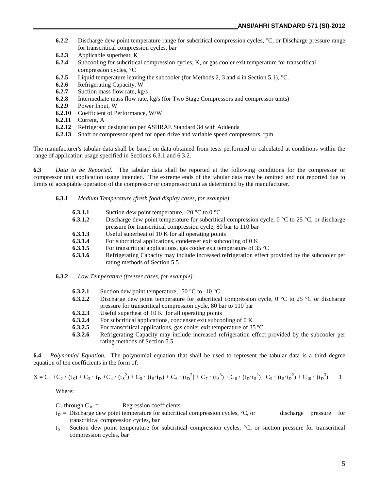- **6.2.2** Discharge dew point temperature range for subcritical compression cycles, °C, or Discharge pressure range for transcritical compression cycles, bar
- **6.2.3** Applicable superheat, Κ
- **6.2.4** Subcooling for subcritical compression cycles, K, or gas cooler exit temperature for transcritical compression cycles, °C
- **6.2.5** Liquid temperature leaving the subcooler (for Methods 2, 3 and 4 in Section 5.1), °C.
- **6.2.6** Refrigerating Capacity, W
- **6.2.7** Suction mass flow rate, kg/s<br>**6.2.8** Intermediate mass flow rate.
- Intermediate mass flow rate, kg/s (for Two Stage Compressors and compressor units)
- **6.2.9** Power Input, W
- **6.2.10** Coefficient of Performance, W/W
- **6.2.11** Current, A
- **6.2.12** Refrigerant designation per ASHRAE Standard 34 with Addenda
- **6.2.13** Shaft or compressor speed for open drive and variable speed compressors, rpm

The manufacturer's tabular data shall be based on data obtained from tests performed or calculated at conditions within the range of application usage specified in Sections 6.3.1 and 6.3.2.

**6.3** *Data to be Reported.* The tabular data shall be reported at the following conditions for the compressor or compressor unit application usage intended. The extreme ends of the tabular data may be omitted and not reported due to limits of acceptable operation of the compressor or compressor unit as determined by the manufacturer.

#### **6.3.1** *Medium Temperature (fresh food display cases, for example)*

- **6.3.1.1** Suction dew point temperature,  $-20$  °C to  $0$  °C
- **6.3.1.2** Discharge dew point temperature for subcritical compression cycle,  $0^{\circ}$ C to 25  $^{\circ}$ C, or discharge pressure for transcritical compression cycle, 80 bar to 110 bar
- **6.3.1.3** Useful superheat of 10 K for all operating points
- **6.3.1.4** For subcritical applications, condenser exit subcooling of 0 K
- **6.3.1.5** For transcritical applications, gas cooler exit temperature of 35 °C
- **6.3.1.6** Refrigerating Capacity may include increased refrigeration effect provided by the subcooler per rating methods of Section 5.5
- **6.3.2** *Low Temperature (freezer cases, for example)*:
	- **6.3.2.1** Suction dew point temperature,  $-50$  °C to  $-10$  °C
	- **6.3.2.2** Discharge dew point temperature for subcritical compression cycle, 0 °C to 25 °C or discharge pressure for transcritical compression cycle, 80 bar to 110 bar
	- **6.3.2.3** Useful superheat of 10 K for all operating points
	- **6.3.2.4** For subcritical applications, condenser exit subcooling of 0 K
	- **6.3.2.5** For transcritical applications, gas cooler exit temperature of 35 °C
	- **6.3.2.6** Refrigerating Capacity may include increased refrigeration effect provided by the subcooler per rating methods of Section 5.5

**6.4** *Polynomial Equation.* The polynomial equation that shall be used to represent the tabular data is a third degree equation of ten coefficients in the form of:

$$
X=C_1+C_2 \cdot (t_S)+C_3 \cdot t_D+C_4 \cdot (t_S{}^2)+C_5 \cdot (t_S \cdot t_D)+C_6 \cdot (t_D{}^2)+C_7 \cdot (t_S{}^3)+C_8 \cdot (t_D \cdot t_S{}^2)+C_9 \cdot (t_S \cdot t_D{}^2)+C_{10} \cdot (t_D{}^3) \qquad 1
$$

Where:

 $C_1$  through  $C_{10}$  = Regression coefficients.

- $t_D$  = Discharge dew point temperature for subcritical compression cycles,  ${}^{\circ}C$ , or discharge pressure for transcritical compression cycles, bar
- $t<sub>S</sub>$  = Suction dew point temperature for subcritical compression cycles,  $^{\circ}C$ , or suction pressure for transcritical compression cycles, bar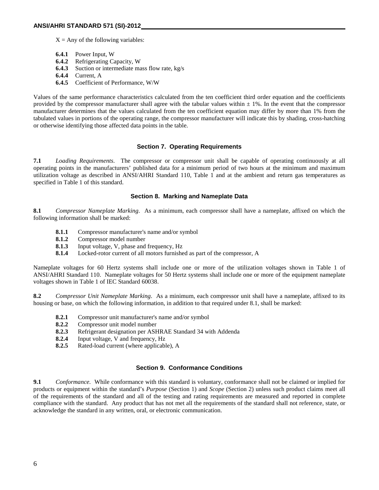$X = Any of the following variables:$ 

- 
- **6.4.1** Power Input, W<br>**6.4.2** Refrigerating Ca **6.4.2** Refrigerating Capacity, W
- **6.4.3** Suction or intermediate mass flow rate, kg/s
- **6.4.4** Current, A
- **6.4.5** Coefficient of Performance, W/W

Values of the same performance characteristics calculated from the ten coefficient third order equation and the coefficients provided by the compressor manufacturer shall agree with the tabular values within  $\pm$  1%. In the event that the compressor manufacturer determines that the values calculated from the ten coefficient equation may differ by more than 1% from the tabulated values in portions of the operating range, the compressor manufacturer will indicate this by shading, cross-hatching or otherwise identifying those affected data points in the table.

#### **Section 7. Operating Requirements**

**7.1** *Loading Requirements*. The compressor or compressor unit shall be capable of operating continuously at all operating points in the manufacturers' published data for a minimum period of two hours at the minimum and maximum utilization voltage as described in ANSI/AHRI Standard 110, Table 1 and at the ambient and return gas temperatures as specified in Table 1 of this standard.

#### **Section 8. Marking and Nameplate Data**

**8.1** *Compressor Nameplate Marking*. As a minimum, each compressor shall have a nameplate, affixed on which the following information shall be marked:

- **8.1.1** Compressor manufacturer's name and/or symbol
- **8.1.2** Compressor model number
- **8.1.3** Input voltage, V, phase and frequency, Hz
- **8.1.4** Locked-rotor current of all motors furnished as part of the compressor, A

Nameplate voltages for 60 Hertz systems shall include one or more of the utilization voltages shown in Table 1 of ANSI/AHRI Standard 110. Nameplate voltages for 50 Hertz systems shall include one or more of the equipment nameplate voltages shown in Table 1 of IEC Standard 60038.

**8.2** *Compressor Unit Nameplate Marking*. As a minimum, each compressor unit shall have a nameplate, affixed to its housing or base, on which the following information, in addition to that required under 8.1, shall be marked:

- **8.2.1** Compressor unit manufacturer's name and/or symbol
- **8.2.2** Compressor unit model number
- **8.2.3** Refrigerant designation per ASHRAE Standard 34 with Addenda<br>**8.2.4** Input voltage V and frequency Hz
- **8.2.4** Input voltage, V and frequency, Hz
- **8.2.5** Rated-load current (where applicable), A

#### **Section 9. Conformance Conditions**

**9.1** *Conformance.* While conformance with this standard is voluntary, conformance shall not be claimed or implied for products or equipment within the standard's *Purpose* (Section 1) and *Scope* (Section 2) unless such product claims meet all of the requirements of the standard and all of the testing and rating requirements are measured and reported in complete compliance with the standard. Any product that has not met all the requirements of the standard shall not reference, state, or acknowledge the standard in any written, oral, or electronic communication.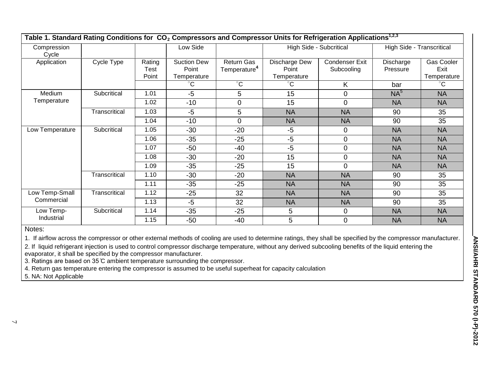| Table 1. Standard Rating Conditions for CO <sub>2</sub> Compressors and Compressor Units for Refrigeration Applications <sup>1,2,3</sup> |               |                         |                                            |                                        |                                       |                              |                           |                                   |
|------------------------------------------------------------------------------------------------------------------------------------------|---------------|-------------------------|--------------------------------------------|----------------------------------------|---------------------------------------|------------------------------|---------------------------|-----------------------------------|
| Compression<br>Cycle                                                                                                                     |               |                         | Low Side                                   |                                        | High Side - Subcritical               |                              | High Side - Transcritical |                                   |
| Application                                                                                                                              | Cycle Type    | Rating<br>Test<br>Point | <b>Suction Dew</b><br>Point<br>Temperature | Return Gas<br>Temperature <sup>4</sup> | Discharge Dew<br>Point<br>Temperature | Condenser Exit<br>Subcooling | Discharge<br>Pressure     | Gas Cooler<br>Exit<br>Temperature |
|                                                                                                                                          |               |                         | $^{\circ}$ C                               | $\overline{C}$                         | °С                                    | K                            | bar                       | $^\circ{\rm C}$                   |
| Medium<br>Temperature                                                                                                                    | Subcritical   | 1.01                    | $-5$                                       | 5                                      | 15                                    | $\overline{0}$               | NA <sup>5</sup>           | <b>NA</b>                         |
|                                                                                                                                          |               | 1.02                    | $-10$                                      | $\overline{0}$                         | 15                                    | $\mathbf 0$                  | <b>NA</b>                 | <b>NA</b>                         |
|                                                                                                                                          | Transcritical | 1.03                    | $-5$                                       | 5                                      | <b>NA</b>                             | <b>NA</b>                    | 90                        | 35                                |
|                                                                                                                                          |               | 1.04                    | $-10$                                      | $\overline{0}$                         | <b>NA</b>                             | <b>NA</b>                    | 90                        | 35                                |
| Low Temperature                                                                                                                          | Subcritical   | 1.05                    | $-30$                                      | $-20$                                  | $-5$                                  | $\mathbf 0$                  | <b>NA</b>                 | <b>NA</b>                         |
|                                                                                                                                          |               | 1.06                    | $-35$                                      | $-25$                                  | $-5$                                  | $\overline{0}$               | <b>NA</b>                 | <b>NA</b>                         |
|                                                                                                                                          |               | 1.07                    | $-50$                                      | $-40$                                  | $-5$                                  | $\overline{0}$               | <b>NA</b>                 | <b>NA</b>                         |
|                                                                                                                                          |               | 1.08                    | $-30$                                      | $-20$                                  | 15                                    | $\mathbf 0$                  | <b>NA</b>                 | <b>NA</b>                         |
|                                                                                                                                          |               | 1.09                    | $-35$                                      | $-25$                                  | 15                                    | $\mathbf 0$                  | <b>NA</b>                 | <b>NA</b>                         |
|                                                                                                                                          | Transcritical | 1.10                    | $-30$                                      | $-20$                                  | <b>NA</b>                             | <b>NA</b>                    | 90                        | 35                                |
|                                                                                                                                          |               | 1.11                    | $-35$                                      | $-25$                                  | <b>NA</b>                             | <b>NA</b>                    | 90                        | 35                                |
| Low Temp-Small<br>Commercial                                                                                                             | Transcritical | 1.12                    | $-25$                                      | 32                                     | <b>NA</b>                             | <b>NA</b>                    | 90                        | 35                                |
|                                                                                                                                          |               | 1.13                    | $-5$                                       | 32                                     | <b>NA</b>                             | <b>NA</b>                    | 90                        | 35                                |
| Low Temp-<br>Industrial                                                                                                                  | Subcritical   | 1.14                    | $-35$                                      | $-25$                                  | 5                                     | $\overline{0}$               | <b>NA</b>                 | <b>NA</b>                         |
|                                                                                                                                          |               | 1.15                    | $-50$                                      | $-40$                                  | 5                                     | $\mathbf 0$                  | <b>NA</b>                 | <b>NA</b>                         |

Notes:

1. If airflow across the compressor or other external methods of cooling are used to determine ratings, they shall be specified by the compressor manufacturer.

2. If liquid refrigerant injection is used to control compressor discharge temperature, without any derived subcooling benefits of the liquid entering the evaporator, it shall be specified by the compressor manufacturer.

3. Ratings are based on 35 ̊C ambient temperature surrounding the compressor.

4. Return gas temperature entering the compressor is assumed to be useful superheat for capacity calculation

5. NA: Not Applicable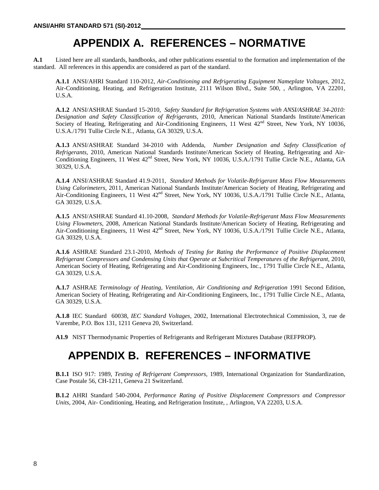# **APPENDIX A. REFERENCES – NORMATIVE**

**A.1** Listed here are all standards, handbooks, and other publications essential to the formation and implementation of the standard. All references in this appendix are considered as part of the standard.

**A.1.1** ANSI/AHRI Standard 110-2012, *Air-Conditioning and Refrigerating Equipment Nameplate Voltages,* 2012, Air-Conditioning, Heating, and Refrigeration Institute, 2111 Wilson Blvd., Suite 500, , Arlington, VA 22201, U.S.A.

**A.1.2** ANSI/ASHRAE Standard 15-2010, *Safety Standard for Refrigeration Systems with ANSI/ASHRAE 34-2010: Designation and Safety Classification of Refrigerants,* 2010, American National Standards Institute/American Society of Heating, Refrigerating and Air-Conditioning Engineers, 11 West  $42<sup>nd</sup>$  Street, New York, NY 10036, U.S.A./1791 Tullie Circle N.E., Atlanta, GA 30329, U.S.A.

**A.1.3** ANSI/ASHRAE Standard 34-2010 with Addenda, *Number Designation and Safety Classification of Refrigerants,* 2010, American National Standards Institute/American Society of Heating, Refrigerating and Air-Conditioning Engineers, 11 West 42<sup>nd</sup> Street, New York, NY 10036, U.S.A./1791 Tullie Circle N.E., Atlanta, GA 30329, U.S.A.

**A.1.4** ANSI/ASHRAE Standard 41.9-2011, *Standard Methods for Volatile-Refrigerant Mass Flow Measurements Using Calorimeters,* 2011, American National Standards Institute/American Society of Heating, Refrigerating and Air-Conditioning Engineers, 11 West 42<sup>nd</sup> Street, New York, NY 10036, U.S.A./1791 Tullie Circle N.E., Atlanta, GA 30329, U.S.A.

**A.1.5** ANSI/ASHRAE Standard 41.10-2008, *Standard Methods for Volatile-Refrigerant Mass Flow Measurements Using Flowmeters,* 2008, American National Standards Institute/American Society of Heating, Refrigerating and Air-Conditioning Engineers, 11 West 42<sup>nd</sup> Street, New York, NY 10036, U.S.A./1791 Tullie Circle N.E., Atlanta, GA 30329, U.S.A.

**A.1.6** ASHRAE Standard 23.1-2010, *Methods of Testing for Rating the Performance of Positive Displacement Refrigerant Compressors and Condensing Units that Operate at Subcritical Temperatures of the Refrigerant,* 2010, American Society of Heating, Refrigerating and Air-Conditioning Engineers, Inc., 1791 Tullie Circle N.E., Atlanta, GA 30329, U.S.A.

**A.1.7** ASHRAE *Terminology of Heating, Ventilation, Air Conditioning and Refrigeration* 1991 Second Edition, American Society of Heating, Refrigerating and Air-Conditioning Engineers, Inc., 1791 Tullie Circle N.E., Atlanta, GA 30329, U.S.A.

**A.1.8** IEC Standard 60038, *IEC Standard Voltages,* 2002, International Electrotechnical Commission, 3, rue de Varembe, P.O. Box 131, 1211 Geneva 20, Switzerland.

**A1.9** NIST Thermodynamic Properties of Refrigerants and Refrigerant Mixtures Database (REFPROP)*.*

# **APPENDIX B. REFERENCES – INFORMATIVE**

**B.1.1** ISO 917: 1989, *Testing of Refrigerant Compressors,* 1989, International Organization for Standardization, Case Postale 56, CH-1211, Geneva 21 Switzerland.

**B.1.2** AHRI Standard 540-2004, *Performance Rating of Positive Displacement Compressors and Compressor Units*, 2004, Air- Conditioning, Heating, and Refrigeration Institute, , Arlington, VA 22203, U.S.A.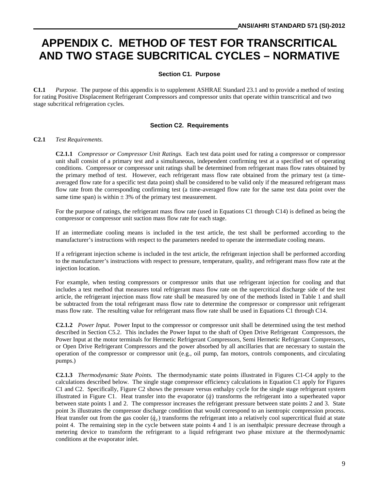# **APPENDIX C. METHOD OF TEST FOR TRANSCRITICAL AND TWO STAGE SUBCRITICAL CYCLES – NORMATIVE**

#### **Section C1. Purpose**

**C1.1** *Purpose.* The purpose of this appendix is to supplement ASHRAE Standard 23.1 and to provide a method of testing for rating Positive Displacement Refrigerant Compressors and compressor units that operate within transcritical and two stage subcritical refrigeration cycles.

#### **Section C2. Requirements**

#### **C2.1** *Test Requirements.*

**C2.1.1** *Compressor or Compressor Unit Ratings.* Each test data point used for rating a compressor or compressor unit shall consist of a primary test and a simultaneous, independent confirming test at a specified set of operating conditions. Compressor or compressor unit ratings shall be determined from refrigerant mass flow rates obtained by the primary method of test. However, each refrigerant mass flow rate obtained from the primary test (a timeaveraged flow rate for a specific test data point) shall be considered to be valid only if the measured refrigerant mass flow rate from the corresponding confirming test (a time-averaged flow rate for the same test data point over the same time span) is within  $\pm$  3% of the primary test measurement.

For the purpose of ratings, the refrigerant mass flow rate (used in Equations C1 through C14) is defined as being the compressor or compressor unit suction mass flow rate for each stage.

If an intermediate cooling means is included in the test article, the test shall be performed according to the manufacturer's instructions with respect to the parameters needed to operate the intermediate cooling means.

If a refrigerant injection scheme is included in the test article, the refrigerant injection shall be performed according to the manufacturer's instructions with respect to pressure, temperature, quality, and refrigerant mass flow rate at the injection location.

For example, when testing compressors or compressor units that use refrigerant injection for cooling and that includes a test method that measures total refrigerant mass flow rate on the supercritical discharge side of the test article, the refrigerant injection mass flow rate shall be measured by one of the methods listed in Table 1 and shall be subtracted from the total refrigerant mass flow rate to determine the compressor or compressor unit refrigerant mass flow rate. The resulting value for refrigerant mass flow rate shall be used in Equations C1 through C14.

**C2.1.2** *Power Input.* Power Input to the compressor or compressor unit shall be determined using the test method described in Section C5.2. This includes the Power Input to the shaft of Open Drive Refrigerant Compressors, the Power Input at the motor terminals for Hermetic Refrigerant Compressors, Semi Hermetic Refrigerant Compressors, or Open Drive Refrigerant Compressors and the power absorbed by all ancillaries that are necessary to sustain the operation of the compressor or compressor unit (e.g., oil pump, fan motors, controls components, and circulating pumps.)

**C2.1.3** *Thermodynamic State Points.* The thermodynamic state points illustrated in Figures C1-C4 apply to the calculations described below. The single stage compressor efficiency calculations in Equation C1 apply for Figures C1 and C2. Specifically, Figure C2 shows the pressure versus enthalpy cycle for the single stage refrigerant system illustrated in Figure C1. Heat transfer into the evaporator  $(\dot{q})$  transforms the refrigerant into a superheated vapor between state points 1 and 2. The compressor increases the refrigerant pressure between state points 2 and 3. State point 3s illustrates the compressor discharge condition that would correspond to an isentropic compression process. Heat transfer out from the gas cooler  $(\dot{q}_c)$  transforms the refrigerant into a relatively cool supercritical fluid at state point 4. The remaining step in the cycle between state points 4 and 1 is an isenthalpic pressure decrease through a metering device to transform the refrigerant to a liquid refrigerant two phase mixture at the thermodynamic conditions at the evaporator inlet.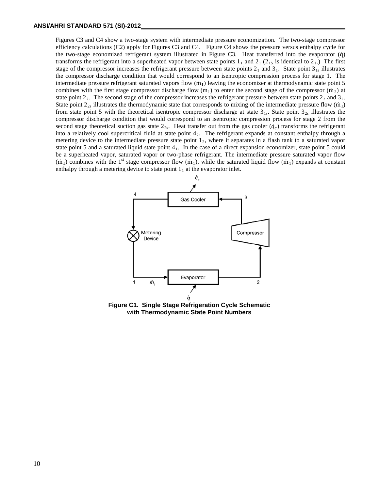Figures C3 and C4 show a two-stage system with intermediate pressure economization. The two-stage compressor efficiency calculations (C2) apply for Figures C3 and C4. Figure C4 shows the pressure versus enthalpy cycle for the two-stage economized refrigerant system illustrated in Figure C3. Heat transferred into the evaporator (q̇) transforms the refrigerant into a superheated vapor between state points  $1_1$  and  $2_1$  ( $2_{1s}$  is identical to  $2_1$ .) The first stage of the compressor increases the refrigerant pressure between state points  $2<sub>1</sub>$  and  $3<sub>1</sub>$ . State point  $3<sub>1s</sub>$  illustrates the compressor discharge condition that would correspond to an isentropic compression process for stage 1. The intermediate pressure refrigerant saturated vapors flow (m<sub>I</sub>) leaving the economizer at thermodynamic state point 5 combines with the first stage compressor discharge flow  $(m_1)$  to enter the second stage of the compressor  $(m_2)$  at state point  $2<sub>2</sub>$ . The second stage of the compressor increases the refrigerant pressure between state points  $2<sub>2</sub>$  and  $3<sub>2</sub>$ . State point  $2_{2s}$  illustrates the thermodynamic state that corresponds to mixing of the intermediate pressure flow  $(m_1)$ from state point 5 with the theoretical isentropic compressor discharge at state  $3_{1s}$ . State point  $3_{2s}$  illustrates the compressor discharge condition that would correspond to an isentropic compression process for stage 2 from the second stage theoretical suction gas state  $2_{2s}$ . Heat transfer out from the gas cooler  $(\dot{q}_c)$  transforms the refrigerant into a relatively cool supercritical fluid at state point 42. The refrigerant expands at constant enthalpy through a metering device to the intermediate pressure state point  $1<sub>2</sub>$ , where it separates in a flash tank to a saturated vapor state point 5 and a saturated liquid state point  $4<sub>1</sub>$ . In the case of a direct expansion economizer, state point 5 could be a superheated vapor, saturated vapor or two-phase refrigerant. The intermediate pressure saturated vapor flow  $(m<sub>1</sub>)$  combines with the 1<sup>st</sup> stage compressor flow  $(m<sub>1</sub>)$ , while the saturated liquid flow  $(m<sub>1</sub>)$  expands at constant enthalpy through a metering device to state point  $1<sub>1</sub>$  at the evaporator inlet.



**Figure C1. Single Stage Refrigeration Cycle Schematic with Thermodynamic State Point Numbers**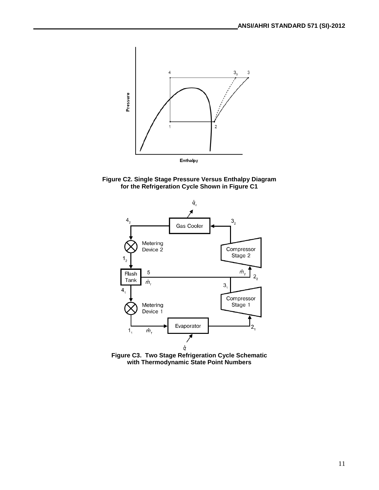

**Figure C2. Single Stage Pressure Versus Enthalpy Diagram for the Refrigeration Cycle Shown in Figure C1**



**Figure C3. Two Stage Refrigeration Cycle Schematic with Thermodynamic State Point Numbers**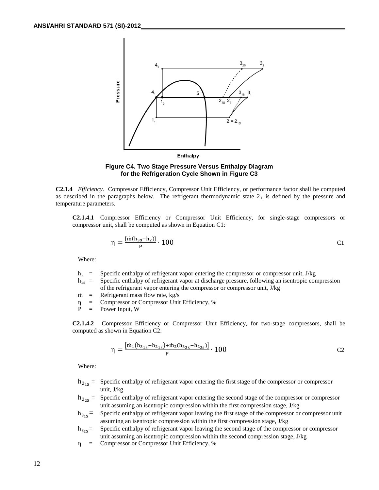



**C2.1.4** *Efficiency.* Compressor Efficiency, Compressor Unit Efficiency, or performance factor shall be computed as described in the paragraphs below. The refrigerant thermodynamic state  $2<sub>1</sub>$  is defined by the pressure and temperature parameters.

**C2.1.4.1** Compressor Efficiency or Compressor Unit Efficiency, for single-stage compressors or compressor unit, shall be computed as shown in Equation C1:

$$
\eta = \frac{\left[\dot{m}(h_{3s} - h_2)\right]}{P} \cdot 100
$$
 C1

Where:

- $h_2$  = Specific enthalpy of refrigerant vapor entering the compressor or compressor unit, J/kg
- $h_{3s}$  = Specific enthalpy of refrigerant vapor at discharge pressure, following an isentropic compression of the refrigerant vapor entering the compressor or compressor unit, J/kg
- $\dot{m}$  = Refrigerant mass flow rate, kg/s<br>  $\eta$  = Compressor or Compressor Unit
- η = Compressor or Compressor Unit Efficiency, %
- $P = Power Input, W$

**C2.1.4.2** Compressor Efficiency or Compressor Unit Efficiency, for two-stage compressors, shall be computed as shown in Equation C2:

$$
\eta = \frac{\left[ \dot{m}_1 (h_{3_{1s}} - h_{2_{1s}}) + \dot{m}_2 (h_{3_{2s}} - h_{2_{2s}}) \right]}{P} \cdot 100
$$
 C2

Where:

- $h_{2.5}$  = Specific enthalpy of refrigerant vapor entering the first stage of the compressor or compressor unit, J/kg
- $h_{2s}$  = Specific enthalpy of refrigerant vapor entering the second stage of the compressor or compressor unit assuming an isentropic compression within the first compression stage, J/kg
- $h_{3.5}$  = Specific enthalpy of refrigerant vapor leaving the first stage of the compressor or compressor unit assuming an isentropic compression within the first compression stage, J/kg
- $h_{3.55}$  Specific enthalpy of refrigerant vapor leaving the second stage of the compressor or compressor unit assuming an isentropic compression within the second compression stage, J/kg
- η = Compressor or Compressor Unit Efficiency, %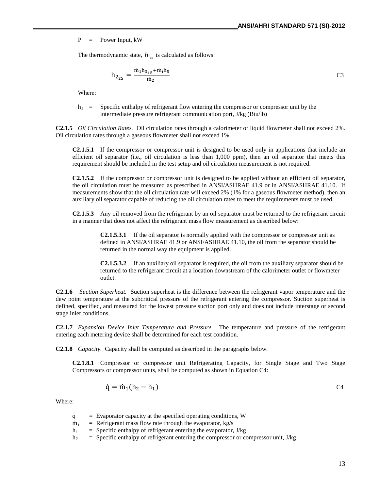P = Power Input, kW

The thermodynamic state,  $h_{z_{2s}}$  is calculated as follows:

$$
h_{2_{2S}} = \frac{m_1 h_{3_{1S}} + m_1 h_5}{m_2}
$$
 C3

Where:

 $h_5$  = Specific enthalpy of refrigerant flow entering the compressor or compressor unit by the intermediate pressure refrigerant communication port, J/kg (Btu/lb)

**C2.1.5** *Oil Circulation Rates.* Oil circulation rates through a calorimeter or liquid flowmeter shall not exceed 2%. Oil circulation rates through a gaseous flowmeter shall not exceed 1%.

**C2.1.5.1** If the compressor or compressor unit is designed to be used only in applications that include an efficient oil separator (i.e., oil circulation is less than 1,000 ppm), then an oil separator that meets this requirement should be included in the test setup and oil circulation measurement is not required.

**C2.1.5.2** If the compressor or compressor unit is designed to be applied without an efficient oil separator, the oil circulation must be measured as prescribed in ANSI/ASHRAE 41.9 or in ANSI/ASHRAE 41.10.If measurements show that the oil circulation rate will exceed 2% (1% for a gaseous flowmeter method), then an auxiliary oil separator capable of reducing the oil circulation rates to meet the requirements must be used.

**C2.1.5.3** Any oil removed from the refrigerant by an oil separator must be returned to the refrigerant circuit in a manner that does not affect the refrigerant mass flow measurement as described below:

> **C2.1.5.3.1** If the oil separator is normally applied with the compressor or compressor unit as defined in ANSI/ASHRAE 41.9 or ANSI/ASHRAE 41.10, the oil from the separator should be returned in the normal way the equipment is applied.

**C2.1.5.3.2** If an auxiliary oil separator is required, the oil from the auxiliary separator should be returned to the refrigerant circuit at a location downstream of the calorimeter outlet or flowmeter outlet.

**C2.1.6** *Suction Superheat.* Suction superheat is the difference between the refrigerant vapor temperature and the dew point temperature at the subcritical pressure of the refrigerant entering the compressor. Suction superheat is defined, specified, and measured for the lowest pressure suction port only and does not include interstage or second stage inlet conditions.

**C2.1.7** *Expansion Device Inlet Temperature and Pressure.* The temperature and pressure of the refrigerant entering each metering device shall be determined for each test condition.

**C2.1.8** *Capacity.* Capacity shall be computed as described in the paragraphs below.

**C2.1.8.1** Compressor or compressor unit Refrigerating Capacity, for Single Stage and Two Stage Compressors or compressor units, shall be computed as shown in Equation C4:

$$
\dot{\mathbf{q}} = \dot{\mathbf{m}}_1 (\mathbf{h}_2 - \mathbf{h}_1) \tag{24}
$$

Where:

- $\dot{q}$  = Evaporator capacity at the specified operating conditions, W<br>  $\dot{m}$ , = Refrigerant mass flow rate through the evaporator, kg/s
- $\dot{m}_1$  = Refrigerant mass flow rate through the evaporator, kg/s<br> $h_1$  = Specific enthalpy of refrigerant entering the evaporator.
- $=$  Specific enthalpy of refrigerant entering the evaporator, J/kg
- $h_2$  = Specific enthalpy of refrigerant entering the compressor or compressor unit, J/kg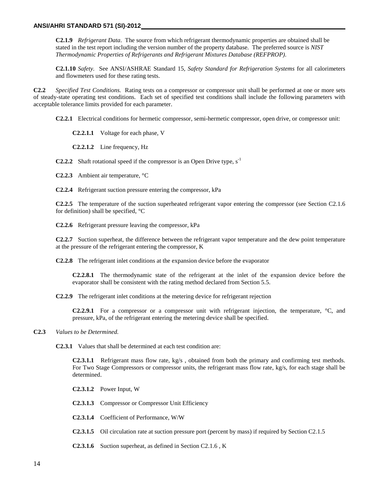**C2.1.9** *Refrigerant Data*. The source from which refrigerant thermodynamic properties are obtained shall be stated in the test report including the version number of the property database. The preferred source is *NIST Thermodynamic Properties of Refrigerants and Refrigerant Mixtures Database (REFPROP)*.

**C2.1.10** *Safety.* See ANSI/ASHRAE Standard 15*, Safety Standard for Refrigeration Systems* for all calorimeters and flowmeters used for these rating tests.

**C2.2** *Specified Test Conditions.* Rating tests on a compressor or compressor unit shall be performed at one or more sets of steady-state operating test conditions. Each set of specified test conditions shall include the following parameters with acceptable tolerance limits provided for each parameter.

**C2.2.1** Electrical conditions for hermetic compressor, semi-hermetic compressor, open drive, or compressor unit:

**C2.2.1.1** Voltage for each phase, V

**C2.2.1.2** Line frequency, Hz

**C2.2.2** Shaft rotational speed if the compressor is an Open Drive type,  $s^{-1}$ 

**C2.2.3** Ambient air temperature, °C

**C2.2.4** Refrigerant suction pressure entering the compressor, kPa

**C2.2.5** The temperature of the suction superheated refrigerant vapor entering the compressor (see Section C2.1.6 for definition) shall be specified, °C

**C2.2.6** Refrigerant pressure leaving the compressor, kPa

**C2.2.7** Suction superheat, the difference between the refrigerant vapor temperature and the dew point temperature at the pressure of the refrigerant entering the compressor, K

**C2.2.8** The refrigerant inlet conditions at the expansion device before the evaporator

**C2.2.8.1** The thermodynamic state of the refrigerant at the inlet of the expansion device before the evaporator shall be consistent with the rating method declared from Section 5.5.

**C2.2.9** The refrigerant inlet conditions at the metering device for refrigerant rejection

**C2.2.9.1** For a compressor or a compressor unit with refrigerant injection, the temperature, °C, and pressure, kPa, of the refrigerant entering the metering device shall be specified.

**C2.3** *Values to be Determined.*

**C2.3.1** Values that shall be determined at each test condition are:

**C2.3.1.1** Refrigerant mass flow rate, kg/s , obtained from both the primary and confirming test methods. For Two Stage Compressors or compressor units, the refrigerant mass flow rate, kg/s, for each stage shall be determined.

**C2.3.1.2** Power Input, W

**C2.3.1.3** Compressor or Compressor Unit Efficiency

**C2.3.1.4** Coefficient of Performance, W/W

- **C2.3.1.5** Oil circulation rate at suction pressure port (percent by mass) if required by Section C2.1.5
- **C2.3.1.6** Suction superheat, as defined in Section C2.1.6 , K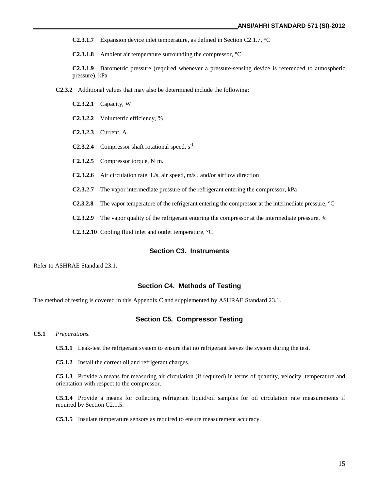**C2.3.1.7** Expansion device inlet temperature, as defined in Section C2.1.7, °C

**C2.3.1.8** Ambient air temperature surrounding the compressor, °C

**C2.3.1.9** Barometric pressure (required whenever a pressure-sensing device is referenced to atmospheric pressure), kPa

**C2.3.2** Additional values that may also be determined include the following:

- **C2.3.2.1** Capacity, W
- **C2.3.2.2** Volumetric efficiency, %
- **C2.3.2.3** Current, A
- **C2.3.2.4** Compressor shaft rotational speed,  $s^{-1}$
- **C2.3.2.5** Compressor torque, N·m.
- **C2.3.2.6** Air circulation rate, L/s, air speed, m/s , and/or airflow direction
- **C2.3.2.7** The vapor intermediate pressure of the refrigerant entering the compressor, kPa
- **C2.3.2.8** The vapor temperature of the refrigerant entering the compressor at the intermediate pressure, °C
- **C2.3.2.9** The vapor quality of the refrigerant entering the compressor at the intermediate pressure, %

**C2.3.2.10** Cooling fluid inlet and outlet temperature, °C

#### **Section C3. Instruments**

Refer to ASHRAE Standard 23.1.

#### **Section C4. Methods of Testing**

The method of testing is covered in this Appendix C and supplemented by ASHRAE Standard 23.1.

#### **Section C5. Compressor Testing**

**C5.1** *Preparations.*

**C5.1.1** Leak-test the refrigerant system to ensure that no refrigerant leaves the system during the test.

**C5.1.2** Install the correct oil and refrigerant charges.

**C5.1.3** Provide a means for measuring air circulation (if required) in terms of quantity, velocity, temperature and orientation with respect to the compressor.

**C5.1.4** Provide a means for collecting refrigerant liquid/oil samples for oil circulation rate measurements if required by Section C2.1.5.

**C5.1.5** Insulate temperature sensors as required to ensure measurement accuracy.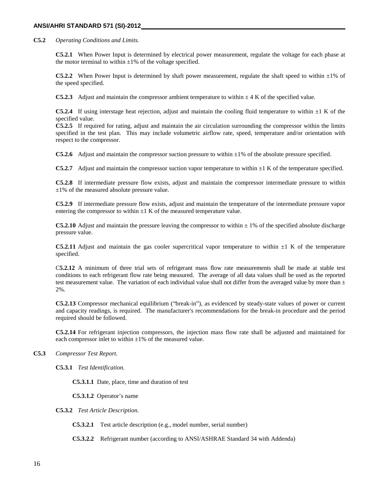#### **ANSI/AHRI STANDARD 571 (SI)-2012**

**C5.2** *Operating Conditions and Limits.*

**C5.2.1** When Power Input is determined by electrical power measurement, regulate the voltage for each phase at the motor terminal to within  $\pm 1\%$  of the voltage specified.

**C5.2.2** When Power Input is determined by shaft power measurement, regulate the shaft speed to within  $\pm 1\%$  of the speed specified.

**C5.2.3** Adjust and maintain the compressor ambient temperature to within  $\pm 4$  K of the specified value.

**C5.2.4** If using interstage heat rejection, adjust and maintain the cooling fluid temperature to within  $\pm 1$  K of the specified value.

**C5.2.5** If required for rating, adjust and maintain the air circulation surrounding the compressor within the limits specified in the test plan. This may include volumetric airflow rate, speed, temperature and/or orientation with respect to the compressor.

**C5.2.6** Adjust and maintain the compressor suction pressure to within  $\pm 1\%$  of the absolute pressure specified.

**C5.2.7** Adjust and maintain the compressor suction vapor temperature to within  $\pm 1$  K of the temperature specified.

**C5.2.8** If intermediate pressure flow exists, adjust and maintain the compressor intermediate pressure to within  $\pm$ 1% of the measured absolute pressure value.

**C5.2.9** If intermediate pressure flow exists, adjust and maintain the temperature of the intermediate pressure vapor entering the compressor to within  $\pm 1$  K of the measured temperature value.

**C5.2.10** Adjust and maintain the pressure leaving the compressor to within  $\pm$  1% of the specified absolute discharge pressure value.

**C5.2.11** Adjust and maintain the gas cooler supercritical vapor temperature to within  $\pm 1$  K of the temperature specified.

C**5.2.12** A minimum of three trial sets of refrigerant mass flow rate measurements shall be made at stable test conditions to each refrigerant flow rate being measured. The average of all data values shall be used as the reported test measurement value. The variation of each individual value shall not differ from the averaged value by more than  $\pm$ 2%.

**C5.2.13** Compressor mechanical equilibrium ("break-in"), as evidenced by steady-state values of power or current and capacity readings, is required. The manufacturer's recommendations for the break-in procedure and the period required should be followed.

**C5.2.14** For refrigerant injection compressors, the injection mass flow rate shall be adjusted and maintained for each compressor inlet to within  $\pm 1\%$  of the measured value.

#### **C5.3** *Compressor Test Report.*

**C5.3.1** *Test Identification.*

**C5.3.1.1** Date, place, time and duration of test

**C5.3.1.2** Operator's name

**C5.3.2** *Test Article Description.*

**C5.3.2.1** Test article description (e.g., model number, serial number)

**C5.3.2.2** Refrigerant number (according to ANSI/ASHRAE Standard 34 with Addenda)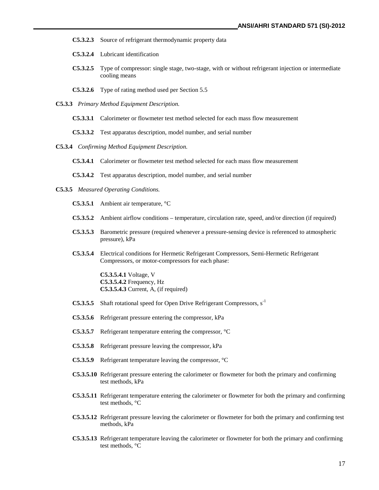- **C5.3.2.3** Source of refrigerant thermodynamic property data
- **C5.3.2.4** Lubricant identification
- **C5.3.2.5** Type of compressor: single stage, two-stage, with or without refrigerant injection or intermediate cooling means
- **C5.3.2.6** Type of rating method used per Section 5.5
- **C5.3.3** *Primary Method Equipment Description.*
	- **C5.3.3.1** Calorimeter or flowmeter test method selected for each mass flow measurement
	- **C5.3.3.2** Test apparatus description, model number, and serial number
- **C5.3.4** *Confirming Method Equipment Description.*
	- **C5.3.4.1** Calorimeter or flowmeter test method selected for each mass flow measurement
	- **C5.3.4.2** Test apparatus description, model number, and serial number
- **C5.3.5** *Measured Operating Conditions.*
	- **C5.3.5.1** Ambient air temperature, °C
	- **C5.3.5.2** Ambient airflow conditions temperature, circulation rate, speed, and/or direction (if required)
	- **C5.3.5.3** Barometric pressure (required whenever a pressure-sensing device is referenced to atmospheric pressure), kPa
	- **C5.3.5.4** Electrical conditions for Hermetic Refrigerant Compressors, Semi-Hermetic Refrigerant Compressors, or motor-compressors for each phase:

**C5.3.5.4.1** Voltage, V **C5.3.5.4.2** Frequency, Hz **C5.3.5.4.3** Current, A, (if required)

- **C5.3.5.5** Shaft rotational speed for Open Drive Refrigerant Compressors,  $s^{-1}$
- **C5.3.5.6** Refrigerant pressure entering the compressor, kPa
- **C5.3.5.7** Refrigerant temperature entering the compressor, °C
- **C5.3.5.8** Refrigerant pressure leaving the compressor, kPa
- **C5.3.5.9** Refrigerant temperature leaving the compressor, °C
- **C5.3.5.10** Refrigerant pressure entering the calorimeter or flowmeter for both the primary and confirming test methods, kPa
- **C5.3.5.11** Refrigerant temperature entering the calorimeter or flowmeter for both the primary and confirming test methods, °C
- **C5.3.5.12** Refrigerant pressure leaving the calorimeter or flowmeter for both the primary and confirming test methods, kPa
- **C5.3.5.13** Refrigerant temperature leaving the calorimeter or flowmeter for both the primary and confirming test methods, °C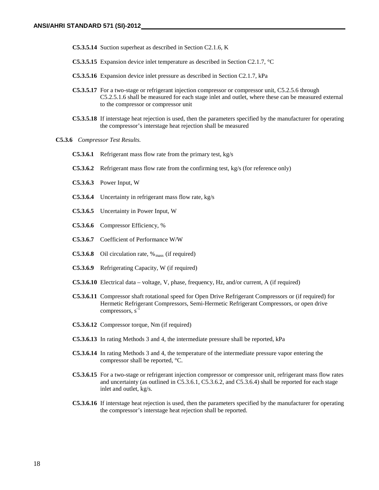- **C5.3.5.14** Suction superheat as described in Section C2.1.6, K
- **C5.3.5.15** Expansion device inlet temperature as described in Section C2.1.7, °C
- **C5.3.5.16** Expansion device inlet pressure as described in Section C2.1.7, kPa
- **C5.3.5.17** For a two-stage or refrigerant injection compressor or compressor unit, C5.2.5.6 through C5.2.5.1.6 shall be measured for each stage inlet and outlet, where these can be measured external to the compressor or compressor unit
- **C5.3.5.18** If interstage heat rejection is used, then the parameters specified by the manufacturer for operating the compressor's interstage heat rejection shall be measured
- **C5.3.6** *Compressor Test Results.*
	- **C5.3.6.1** Refrigerant mass flow rate from the primary test, kg/s
	- **C5.3.6.2** Refrigerant mass flow rate from the confirming test, kg/s (for reference only)
	- **C5.3.6.3** Power Input, W
	- **C5.3.6.4** Uncertainty in refrigerant mass flow rate, kg/s
	- **C5.3.6.5** Uncertainty in Power Input, W
	- **C5.3.6.6** Compressor Efficiency, %
	- **C5.3.6.7** Coefficient of Performance W/W
	- **C5.3.6.8** Oil circulation rate,  $\%$ <sub>mass</sub> (if required)
	- **C5.3.6.9** Refrigerating Capacity, W (if required)
	- **C5.3.6.10** Electrical data voltage, V, phase, frequency, Hz, and/or current, A (if required)
	- **C5.3.6.11** Compressor shaft rotational speed for Open Drive Refrigerant Compressors or (if required) for Hermetic Refrigerant Compressors, Semi-Hermetic Refrigerant Compressors, or open drive compressors, s<sup>-1</sup>
	- **C5.3.6.12** Compressor torque, Nm (if required)
	- **C5.3.6.13** In rating Methods 3 and 4, the intermediate pressure shall be reported, kPa
	- **C5.3.6.14** In rating Methods 3 and 4, the temperature of the intermediate pressure vapor entering the compressor shall be reported, °C.
	- **C5.3.6.15** For a two-stage or refrigerant injection compressor or compressor unit, refrigerant mass flow rates and uncertainty (as outlined in C5.3.6.1, C5.3.6.2, and C5.3.6.4) shall be reported for each stage inlet and outlet, kg/s.
	- **C5.3.6.16** If interstage heat rejection is used, then the parameters specified by the manufacturer for operating the compressor's interstage heat rejection shall be reported.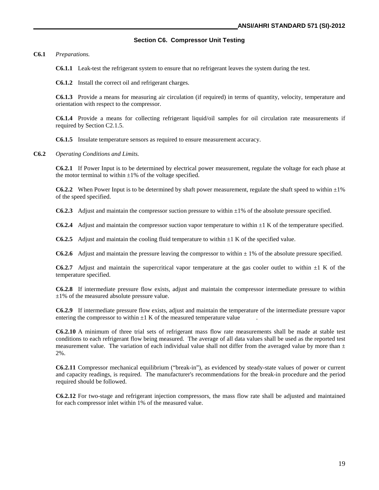#### **Section C6. Compressor Unit Testing**

**C6.1** *Preparations.*

**C6.1.1** Leak-test the refrigerant system to ensure that no refrigerant leaves the system during the test.

**C6.1.2** Install the correct oil and refrigerant charges.

**C6.1.3** Provide a means for measuring air circulation (if required) in terms of quantity, velocity, temperature and orientation with respect to the compressor.

**C6.1.4** Provide a means for collecting refrigerant liquid/oil samples for oil circulation rate measurements if required by Section C2.1.5.

**C6.1.5** Insulate temperature sensors as required to ensure measurement accuracy.

**C6.2** *Operating Conditions and Limits.*

**C6.2.1** If Power Input is to be determined by electrical power measurement, regulate the voltage for each phase at the motor terminal to within  $\pm 1\%$  of the voltage specified.

**C6.2.2** When Power Input is to be determined by shaft power measurement, regulate the shaft speed to within  $\pm 1\%$ of the speed specified.

**C6.2.3** Adjust and maintain the compressor suction pressure to within ±1% of the absolute pressure specified.

**C6.2.4** Adjust and maintain the compressor suction vapor temperature to within ±1 K of the temperature specified.

**C6.2.5** Adjust and maintain the cooling fluid temperature to within  $\pm 1$  K of the specified value.

**C6.2.6** Adjust and maintain the pressure leaving the compressor to within  $\pm$  1% of the absolute pressure specified.

**C6.2.7** Adjust and maintain the supercritical vapor temperature at the gas cooler outlet to within  $\pm 1$  K of the temperature specified.

**C6.2.8** If intermediate pressure flow exists, adjust and maintain the compressor intermediate pressure to within  $\pm 1\%$  of the measured absolute pressure value.

**C6.2.9** If intermediate pressure flow exists, adjust and maintain the temperature of the intermediate pressure vapor entering the compressor to within  $\pm 1$  K of the measured temperature value

**C6.2.10** A minimum of three trial sets of refrigerant mass flow rate measurements shall be made at stable test conditions to each refrigerant flow being measured. The average of all data values shall be used as the reported test measurement value. The variation of each individual value shall not differ from the averaged value by more than  $\pm$ 2%.

**C6.2.11** Compressor mechanical equilibrium ("break-in"), as evidenced by steady-state values of power or current and capacity readings, is required. The manufacturer's recommendations for the break-in procedure and the period required should be followed.

**C6.2.12** For two-stage and refrigerant injection compressors, the mass flow rate shall be adjusted and maintained for each compressor inlet within 1% of the measured value.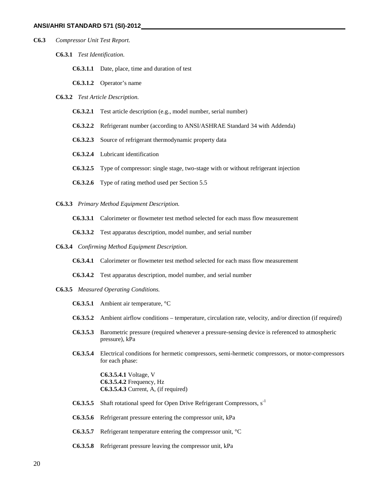- **C6.3** *Compressor Unit Test Report.*
	- **C6.3.1** *Test Identification.*
		- **C6.3.1.1** Date, place, time and duration of test
		- **C6.3.1.2** Operator's name
	- **C6.3.2** *Test Article Description.*
		- **C6.3.2.1** Test article description (e.g., model number, serial number)
		- **C6.3.2.2** Refrigerant number (according to ANSI/ASHRAE Standard 34 with Addenda)
		- **C6.3.2.3** Source of refrigerant thermodynamic property data
		- **C6.3.2.4** Lubricant identification
		- **C6.3.2.5** Type of compressor: single stage, two-stage with or without refrigerant injection
		- **C6.3.2.6** Type of rating method used per Section 5.5
	- **C6.3.3** *Primary Method Equipment Description.*
		- **C6.3.3.1** Calorimeter or flowmeter test method selected for each mass flow measurement
		- **C6.3.3.2** Test apparatus description, model number, and serial number
	- **C6.3.4** *Confirming Method Equipment Description.*
		- **C6.3.4.1** Calorimeter or flowmeter test method selected for each mass flow measurement
		- **C6.3.4.2** Test apparatus description, model number, and serial number
	- **C6.3.5** *Measured Operating Conditions.*
		- **C6.3.5.1** Ambient air temperature, °C
		- **C6.3.5.2** Ambient airflow conditions temperature, circulation rate, velocity, and/or direction (if required)
		- **C6.3.5.3** Barometric pressure (required whenever a pressure-sensing device is referenced to atmospheric pressure), kPa
		- **C6.3.5.4** Electrical conditions for hermetic compressors, semi-hermetic compressors, or motor-compressors for each phase:

**C6.3.5.4.1** Voltage, V **C6.3.5.4.2** Frequency, Hz **C6.3.5.4.3** Current, A, (if required)

- **C6.3.5.5** Shaft rotational speed for Open Drive Refrigerant Compressors, s<sup>-1</sup>
- **C6.3.5.6** Refrigerant pressure entering the compressor unit, kPa
- **C6.3.5.7** Refrigerant temperature entering the compressor unit, °C
- **C6.3.5.8** Refrigerant pressure leaving the compressor unit, kPa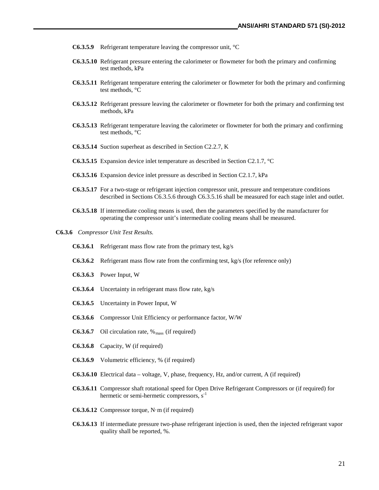- **C6.3.5.9** Refrigerant temperature leaving the compressor unit, °C
- **C6.3.5.10** Refrigerant pressure entering the calorimeter or flowmeter for both the primary and confirming test methods, kPa
- **C6.3.5.11** Refrigerant temperature entering the calorimeter or flowmeter for both the primary and confirming test methods, °C
- **C6.3.5.12** Refrigerant pressure leaving the calorimeter or flowmeter for both the primary and confirming test methods, kPa
- **C6.3.5.13** Refrigerant temperature leaving the calorimeter or flowmeter for both the primary and confirming test methods, °C
- **C6.3.5.14** Suction superheat as described in Section C2.2.7, K
- **C6.3.5.15** Expansion device inlet temperature as described in Section C2.1.7, °C
- **C6.3.5.16** Expansion device inlet pressure as described in Section C2.1.7, kPa
- **C6.3.5.17** For a two-stage or refrigerant injection compressor unit, pressure and temperature conditions described in Sections C6.3.5.6 through C6.3.5.16 shall be measured for each stage inlet and outlet.
- **C6.3.5.18** If intermediate cooling means is used, then the parameters specified by the manufacturer for operating the compressor unit's intermediate cooling means shall be measured.
- **C6.3.6** *Compressor Unit Test Results.*
	- **C6.3.6.1** Refrigerant mass flow rate from the primary test, kg/s
	- **C6.3.6.2** Refrigerant mass flow rate from the confirming test, kg/s (for reference only)
	- **C6.3.6.3** Power Input, W
	- **C6.3.6.4** Uncertainty in refrigerant mass flow rate, kg/s
	- **C6.3.6.5** Uncertainty in Power Input, W
	- **C6.3.6.6** Compressor Unit Efficiency or performance factor, W/W
	- **C6.3.6.7** Oil circulation rate,  $\%$ <sub>mass</sub> (if required)
	- **C6.3.6.8** Capacity, W (if required)
	- **C6.3.6.9** Volumetric efficiency, % (if required)
	- **C6.3.6.10** Electrical data voltage, V, phase, frequency, Hz, and/or current, A (if required)
	- **C6.3.6.11** Compressor shaft rotational speed for Open Drive Refrigerant Compressors or (if required) for hermetic or semi-hermetic compressors,  $s^{-1}$
	- **C6.3.6.12** Compressor torque, N·m (if required)
	- **C6.3.6.13** If intermediate pressure two-phase refrigerant injection is used, then the injected refrigerant vapor quality shall be reported, %.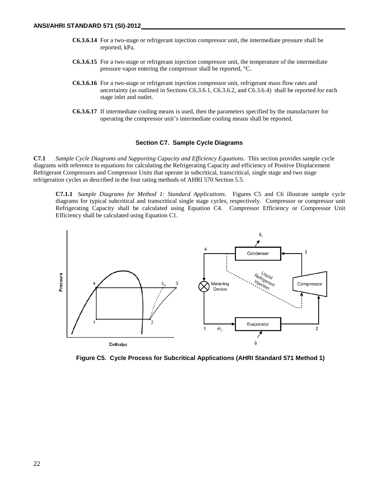- **C6.3.6.14** For a two-stage or refrigerant injection compressor unit, the intermediate pressure shall be reported, kPa.
- **C6.3.6.15** For a two-stage or refrigerant injection compressor unit, the temperature of the intermediate pressure vapor entering the compressor shall be reported, °C.
- **C6.3.6.16** For a two-stage or refrigerant injection compressor unit, refrigerant mass flow rates and uncertainty (as outlined in Sections C6.3.6.1, C6.3.6.2, and C6.3.6.4) shall be reported for each stage inlet and outlet.
- **C6.3.6.17** If intermediate cooling means is used, then the parameters specified by the manufacturer for operating the compressor unit's intermediate cooling means shall be reported.

#### **Section C7. Sample Cycle Diagrams**

**C7.1** *Sample Cycle Diagrams and Supporting Capacity and Efficiency Equations.* This section provides sample cycle diagrams with reference to equations for calculating the Refrigerating Capacity and efficiency of Positive Displacement Refrigerant Compressors and Compressor Units that operate in subcritical, transcritical, single stage and two stage refrigeration cycles as described in the four rating methods of AHRI 570 Section 5.5.

**C7.1.1** *Sample Diagrams for Method 1: Standard Applications*. Figures C5 and C6 illustrate sample cycle diagrams for typical subcritical and transcritical single stage cycles, respectively. Compressor or compressor unit Refrigerating Capacity shall be calculated using Equation C4. Compressor Efficiency or Compressor Unit Efficiency shall be calculated using Equation C1.



**Figure C5. Cycle Process for Subcritical Applications (AHRI Standard 571 Method 1)**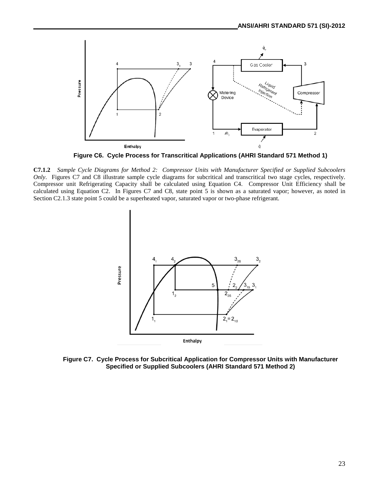

**C7.1.2** *Sample Cycle Diagrams for Method 2: Compressor Units with Manufacturer Specified or Supplied Subcoolers Only*. Figures C7 and C8 illustrate sample cycle diagrams for subcritical and transcritical two stage cycles, respectively. Compressor unit Refrigerating Capacity shall be calculated using Equation C4. Compressor Unit Efficiency shall be calculated using Equation C2. In Figures C7 and C8, state point 5 is shown as a saturated vapor; however, as noted in Section C2.1.3 state point 5 could be a superheated vapor, saturated vapor or two-phase refrigerant.



**Figure C7. Cycle Process for Subcritical Application for Compressor Units with Manufacturer Specified or Supplied Subcoolers (AHRI Standard 571 Method 2)**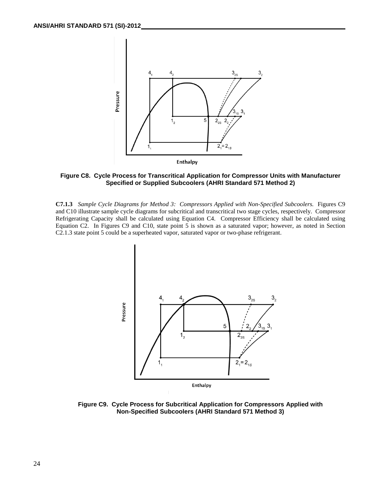

**Figure C8. Cycle Process for Transcritical Application for Compressor Units with Manufacturer Specified or Supplied Subcoolers (AHRI Standard 571 Method 2)**

**C7.1.3** *Sample Cycle Diagrams for Method 3: Compressors Applied with Non-Specified Subcoolers.* Figures C9 and C10 illustrate sample cycle diagrams for subcritical and transcritical two stage cycles, respectively. Compressor Refrigerating Capacity shall be calculated using Equation C4. Compressor Efficiency shall be calculated using Equation C2. In Figures C9 and C10, state point 5 is shown as a saturated vapor; however, as noted in Section C2.1.3 state point 5 could be a superheated vapor, saturated vapor or two-phase refrigerant.



**Figure C9. Cycle Process for Subcritical Application for Compressors Applied with Non-Specified Subcoolers (AHRI Standard 571 Method 3)**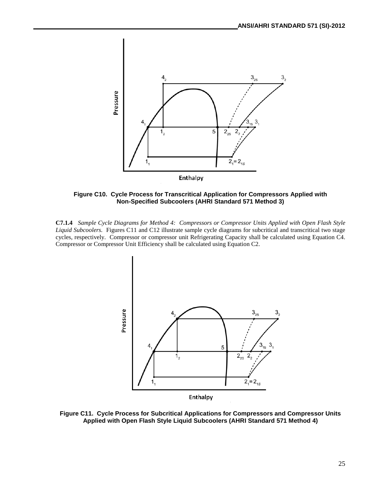

**Figure C10. Cycle Process for Transcritical Application for Compressors Applied with Non-Specified Subcoolers (AHRI Standard 571 Method 3)**

**C7.1.4** *Sample Cycle Diagrams for Method 4: Compressors or Compressor Units Applied with Open Flash Style Liquid Subcoolers.* Figures C11 and C12 illustrate sample cycle diagrams for subcritical and transcritical two stage cycles, respectively. Compressor or compressor unit Refrigerating Capacity shall be calculated using Equation C4. Compressor or Compressor Unit Efficiency shall be calculated using Equation C2.



**Figure C11. Cycle Process for Subcritical Applications for Compressors and Compressor Units Applied with Open Flash Style Liquid Subcoolers (AHRI Standard 571 Method 4)**